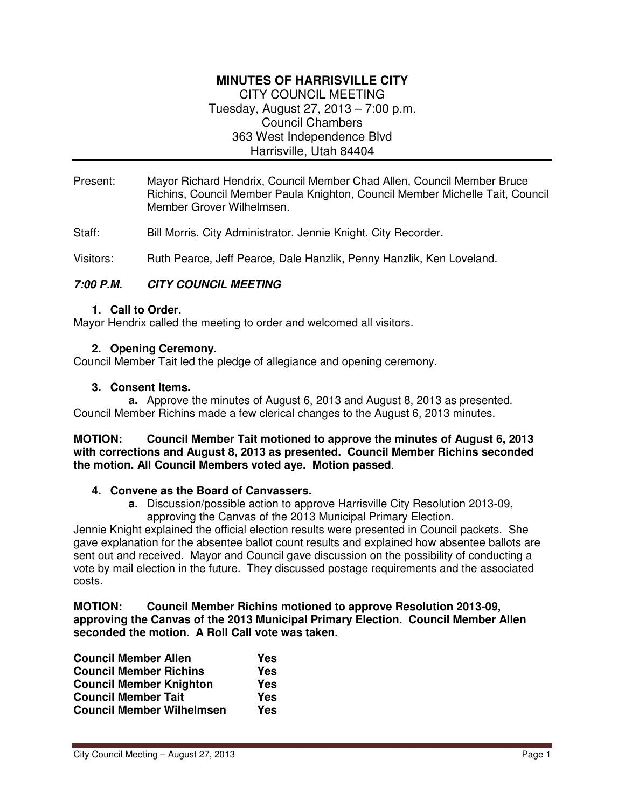# **MINUTES OF HARRISVILLE CITY**  CITY COUNCIL MEETING

Tuesday, August 27, 2013 – 7:00 p.m. Council Chambers 363 West Independence Blvd Harrisville, Utah 84404

- Present: Mayor Richard Hendrix, Council Member Chad Allen, Council Member Bruce Richins, Council Member Paula Knighton, Council Member Michelle Tait, Council Member Grover Wilhelmsen.
- Staff: Bill Morris, City Administrator, Jennie Knight, City Recorder.

Visitors: Ruth Pearce, Jeff Pearce, Dale Hanzlik, Penny Hanzlik, Ken Loveland.

## **7:00 P.M. CITY COUNCIL MEETING**

#### **1. Call to Order.**

Mayor Hendrix called the meeting to order and welcomed all visitors.

#### **2. Opening Ceremony.**

Council Member Tait led the pledge of allegiance and opening ceremony.

#### **3. Consent Items.**

**a.** Approve the minutes of August 6, 2013 and August 8, 2013 as presented. Council Member Richins made a few clerical changes to the August 6, 2013 minutes.

#### **MOTION: Council Member Tait motioned to approve the minutes of August 6, 2013 with corrections and August 8, 2013 as presented. Council Member Richins seconded the motion. All Council Members voted aye. Motion passed**.

#### **4. Convene as the Board of Canvassers.**

**a.** Discussion/possible action to approve Harrisville City Resolution 2013-09, approving the Canvas of the 2013 Municipal Primary Election.

Jennie Knight explained the official election results were presented in Council packets. She gave explanation for the absentee ballot count results and explained how absentee ballots are sent out and received. Mayor and Council gave discussion on the possibility of conducting a vote by mail election in the future. They discussed postage requirements and the associated costs.

#### **MOTION: Council Member Richins motioned to approve Resolution 2013-09, approving the Canvas of the 2013 Municipal Primary Election. Council Member Allen seconded the motion. A Roll Call vote was taken.**

| <b>Council Member Allen</b>      | Yes |
|----------------------------------|-----|
| <b>Council Member Richins</b>    | Yes |
| <b>Council Member Knighton</b>   | Yes |
| <b>Council Member Tait</b>       | Yes |
| <b>Council Member Wilhelmsen</b> | Yes |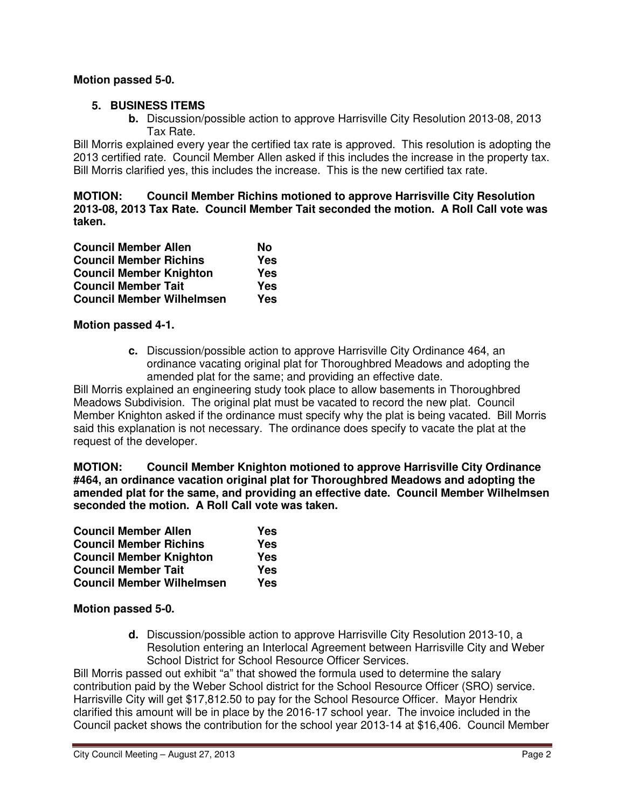## **Motion passed 5-0.**

## **5. BUSINESS ITEMS**

**b.** Discussion/possible action to approve Harrisville City Resolution 2013-08, 2013 Tax Rate.

Bill Morris explained every year the certified tax rate is approved. This resolution is adopting the 2013 certified rate. Council Member Allen asked if this includes the increase in the property tax. Bill Morris clarified yes, this includes the increase. This is the new certified tax rate.

**MOTION: Council Member Richins motioned to approve Harrisville City Resolution 2013-08, 2013 Tax Rate. Council Member Tait seconded the motion. A Roll Call vote was taken.** 

| <b>Council Member Allen</b>      | No         |
|----------------------------------|------------|
| <b>Council Member Richins</b>    | Yes        |
| <b>Council Member Knighton</b>   | <b>Yes</b> |
| <b>Council Member Tait</b>       | <b>Yes</b> |
| <b>Council Member Wilhelmsen</b> | Yes        |

#### **Motion passed 4-1.**

**c.** Discussion/possible action to approve Harrisville City Ordinance 464, an ordinance vacating original plat for Thoroughbred Meadows and adopting the amended plat for the same; and providing an effective date.

Bill Morris explained an engineering study took place to allow basements in Thoroughbred Meadows Subdivision. The original plat must be vacated to record the new plat. Council Member Knighton asked if the ordinance must specify why the plat is being vacated. Bill Morris said this explanation is not necessary. The ordinance does specify to vacate the plat at the request of the developer.

**MOTION: Council Member Knighton motioned to approve Harrisville City Ordinance #464, an ordinance vacation original plat for Thoroughbred Meadows and adopting the amended plat for the same, and providing an effective date. Council Member Wilhelmsen seconded the motion. A Roll Call vote was taken.** 

| <b>Council Member Allen</b>      | Yes        |
|----------------------------------|------------|
| <b>Council Member Richins</b>    | Yes        |
| <b>Council Member Knighton</b>   | Yes        |
| <b>Council Member Tait</b>       | <b>Yes</b> |
| <b>Council Member Wilhelmsen</b> | Yes        |

#### **Motion passed 5-0.**

**d.** Discussion/possible action to approve Harrisville City Resolution 2013-10, a Resolution entering an Interlocal Agreement between Harrisville City and Weber School District for School Resource Officer Services.

Bill Morris passed out exhibit "a" that showed the formula used to determine the salary contribution paid by the Weber School district for the School Resource Officer (SRO) service. Harrisville City will get \$17,812.50 to pay for the School Resource Officer. Mayor Hendrix clarified this amount will be in place by the 2016-17 school year. The invoice included in the Council packet shows the contribution for the school year 2013-14 at \$16,406. Council Member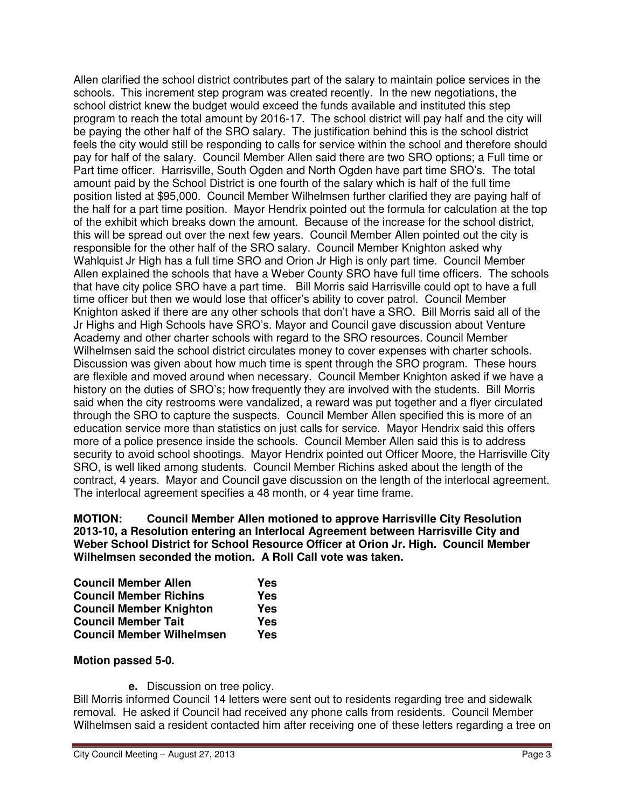Allen clarified the school district contributes part of the salary to maintain police services in the schools. This increment step program was created recently. In the new negotiations, the school district knew the budget would exceed the funds available and instituted this step program to reach the total amount by 2016-17. The school district will pay half and the city will be paying the other half of the SRO salary. The justification behind this is the school district feels the city would still be responding to calls for service within the school and therefore should pay for half of the salary. Council Member Allen said there are two SRO options; a Full time or Part time officer. Harrisville, South Ogden and North Ogden have part time SRO's. The total amount paid by the School District is one fourth of the salary which is half of the full time position listed at \$95,000. Council Member Wilhelmsen further clarified they are paying half of the half for a part time position. Mayor Hendrix pointed out the formula for calculation at the top of the exhibit which breaks down the amount. Because of the increase for the school district, this will be spread out over the next few years. Council Member Allen pointed out the city is responsible for the other half of the SRO salary. Council Member Knighton asked why Wahlquist Jr High has a full time SRO and Orion Jr High is only part time. Council Member Allen explained the schools that have a Weber County SRO have full time officers. The schools that have city police SRO have a part time. Bill Morris said Harrisville could opt to have a full time officer but then we would lose that officer's ability to cover patrol. Council Member Knighton asked if there are any other schools that don't have a SRO. Bill Morris said all of the Jr Highs and High Schools have SRO's. Mayor and Council gave discussion about Venture Academy and other charter schools with regard to the SRO resources. Council Member Wilhelmsen said the school district circulates money to cover expenses with charter schools. Discussion was given about how much time is spent through the SRO program. These hours are flexible and moved around when necessary. Council Member Knighton asked if we have a history on the duties of SRO's; how frequently they are involved with the students. Bill Morris said when the city restrooms were vandalized, a reward was put together and a flyer circulated through the SRO to capture the suspects. Council Member Allen specified this is more of an education service more than statistics on just calls for service. Mayor Hendrix said this offers more of a police presence inside the schools. Council Member Allen said this is to address security to avoid school shootings. Mayor Hendrix pointed out Officer Moore, the Harrisville City SRO, is well liked among students. Council Member Richins asked about the length of the contract, 4 years. Mayor and Council gave discussion on the length of the interlocal agreement. The interlocal agreement specifies a 48 month, or 4 year time frame.

**MOTION: Council Member Allen motioned to approve Harrisville City Resolution 2013-10, a Resolution entering an Interlocal Agreement between Harrisville City and Weber School District for School Resource Officer at Orion Jr. High. Council Member Wilhelmsen seconded the motion. A Roll Call vote was taken.** 

| <b>Council Member Allen</b>      | Yes |
|----------------------------------|-----|
| <b>Council Member Richins</b>    | Yes |
| <b>Council Member Knighton</b>   | Yes |
| <b>Council Member Tait</b>       | Yes |
| <b>Council Member Wilhelmsen</b> | Yes |

#### **Motion passed 5-0.**

**e.** Discussion on tree policy.

Bill Morris informed Council 14 letters were sent out to residents regarding tree and sidewalk removal. He asked if Council had received any phone calls from residents. Council Member Wilhelmsen said a resident contacted him after receiving one of these letters regarding a tree on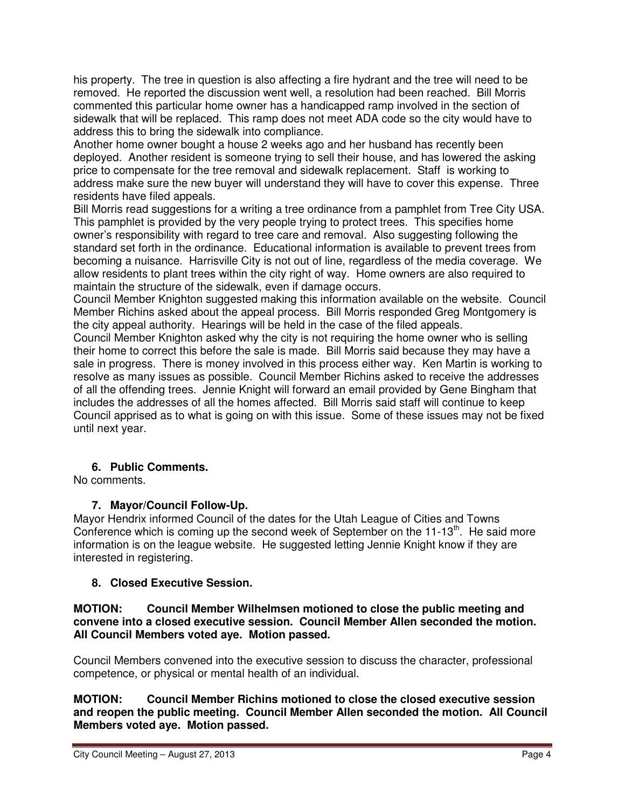his property. The tree in question is also affecting a fire hydrant and the tree will need to be removed. He reported the discussion went well, a resolution had been reached. Bill Morris commented this particular home owner has a handicapped ramp involved in the section of sidewalk that will be replaced. This ramp does not meet ADA code so the city would have to address this to bring the sidewalk into compliance.

Another home owner bought a house 2 weeks ago and her husband has recently been deployed. Another resident is someone trying to sell their house, and has lowered the asking price to compensate for the tree removal and sidewalk replacement. Staff is working to address make sure the new buyer will understand they will have to cover this expense. Three residents have filed appeals.

Bill Morris read suggestions for a writing a tree ordinance from a pamphlet from Tree City USA. This pamphlet is provided by the very people trying to protect trees. This specifies home owner's responsibility with regard to tree care and removal. Also suggesting following the standard set forth in the ordinance. Educational information is available to prevent trees from becoming a nuisance. Harrisville City is not out of line, regardless of the media coverage. We allow residents to plant trees within the city right of way. Home owners are also required to maintain the structure of the sidewalk, even if damage occurs.

Council Member Knighton suggested making this information available on the website. Council Member Richins asked about the appeal process. Bill Morris responded Greg Montgomery is the city appeal authority. Hearings will be held in the case of the filed appeals.

Council Member Knighton asked why the city is not requiring the home owner who is selling their home to correct this before the sale is made. Bill Morris said because they may have a sale in progress. There is money involved in this process either way. Ken Martin is working to resolve as many issues as possible. Council Member Richins asked to receive the addresses of all the offending trees. Jennie Knight will forward an email provided by Gene Bingham that includes the addresses of all the homes affected. Bill Morris said staff will continue to keep Council apprised as to what is going on with this issue. Some of these issues may not be fixed until next year.

## **6. Public Comments.**

No comments.

# **7. Mayor/Council Follow-Up.**

Mayor Hendrix informed Council of the dates for the Utah League of Cities and Towns Conference which is coming up the second week of September on the  $11-13<sup>th</sup>$ . He said more information is on the league website. He suggested letting Jennie Knight know if they are interested in registering.

## **8. Closed Executive Session.**

#### **MOTION: Council Member Wilhelmsen motioned to close the public meeting and convene into a closed executive session. Council Member Allen seconded the motion. All Council Members voted aye. Motion passed.**

Council Members convened into the executive session to discuss the character, professional competence, or physical or mental health of an individual.

**MOTION: Council Member Richins motioned to close the closed executive session and reopen the public meeting. Council Member Allen seconded the motion. All Council Members voted aye. Motion passed.**